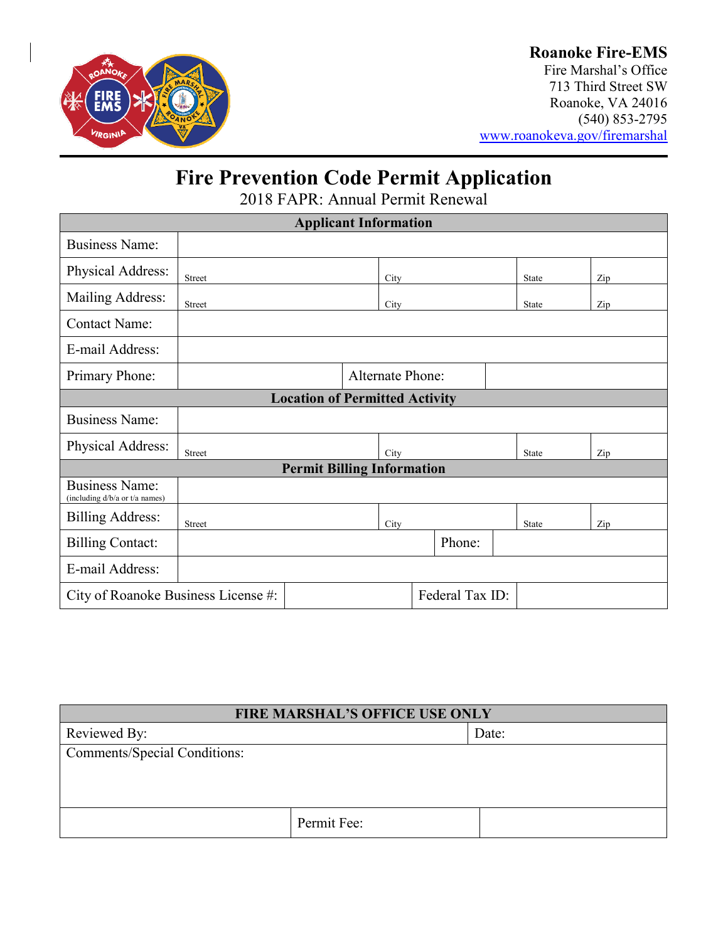

### **Roanoke Fire-EMS**

Fire Marshal's Office 713 Third Street SW Roanoke, VA 24016 (540) 853-2795 [www.roanokeva.gov/firemarshal](http://www.roanokeva.gov/firemarshal)

## **Fire Prevention Code Permit Application**

2018 FAPR: Annual Permit Renewal

| <b>Applicant Information</b>                            |                         |  |      |        |  |       |  |     |
|---------------------------------------------------------|-------------------------|--|------|--------|--|-------|--|-----|
| <b>Business Name:</b>                                   |                         |  |      |        |  |       |  |     |
| Physical Address:                                       | Street                  |  | City |        |  | State |  | Zip |
| Mailing Address:                                        | Street                  |  | City |        |  | State |  | Zip |
| <b>Contact Name:</b>                                    |                         |  |      |        |  |       |  |     |
| E-mail Address:                                         |                         |  |      |        |  |       |  |     |
| Primary Phone:                                          | <b>Alternate Phone:</b> |  |      |        |  |       |  |     |
| <b>Location of Permitted Activity</b>                   |                         |  |      |        |  |       |  |     |
| <b>Business Name:</b>                                   |                         |  |      |        |  |       |  |     |
| Physical Address:                                       | Street                  |  | City |        |  | State |  | Zip |
| <b>Permit Billing Information</b>                       |                         |  |      |        |  |       |  |     |
| <b>Business Name:</b><br>(including d/b/a or t/a names) |                         |  |      |        |  |       |  |     |
| <b>Billing Address:</b>                                 | <b>Street</b>           |  | City |        |  | State |  | Zip |
| <b>Billing Contact:</b>                                 |                         |  |      | Phone: |  |       |  |     |
| E-mail Address:                                         |                         |  |      |        |  |       |  |     |
| Federal Tax ID:<br>City of Roanoke Business License #:  |                         |  |      |        |  |       |  |     |

| <b>FIRE MARSHAL'S OFFICE USE ONLY</b> |             |       |  |  |
|---------------------------------------|-------------|-------|--|--|
| Reviewed By:                          |             | Date: |  |  |
| <b>Comments/Special Conditions:</b>   |             |       |  |  |
|                                       |             |       |  |  |
|                                       |             |       |  |  |
|                                       | Permit Fee: |       |  |  |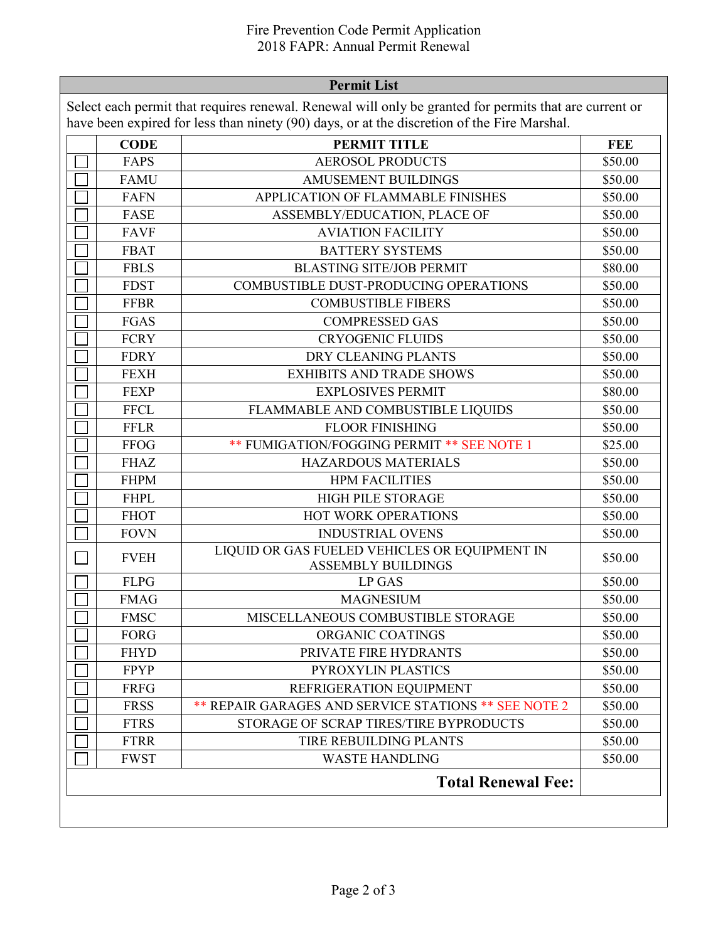#### **Permit List**

Select each permit that requires renewal. Renewal will only be granted for permits that are current or have been expired for less than ninety (90) days, or at the discretion of the Fire Marshal.

|                           |             | PERMIT TITLE                                                               | <b>FEE</b> |  |
|---------------------------|-------------|----------------------------------------------------------------------------|------------|--|
|                           | FAPS        | <b>AEROSOL PRODUCTS</b>                                                    | \$50.00    |  |
|                           | <b>FAMU</b> | <b>AMUSEMENT BUILDINGS</b>                                                 | \$50.00    |  |
|                           | <b>FAFN</b> | APPLICATION OF FLAMMABLE FINISHES                                          | \$50.00    |  |
|                           | FASE        | ASSEMBLY/EDUCATION, PLACE OF                                               | \$50.00    |  |
|                           | <b>FAVF</b> | <b>AVIATION FACILITY</b>                                                   | \$50.00    |  |
|                           | <b>FBAT</b> | <b>BATTERY SYSTEMS</b>                                                     | \$50.00    |  |
|                           | <b>FBLS</b> | <b>BLASTING SITE/JOB PERMIT</b>                                            | \$80.00    |  |
|                           | <b>FDST</b> | COMBUSTIBLE DUST-PRODUCING OPERATIONS                                      | \$50.00    |  |
|                           | <b>FFBR</b> | <b>COMBUSTIBLE FIBERS</b>                                                  | \$50.00    |  |
|                           | FGAS        | <b>COMPRESSED GAS</b>                                                      | \$50.00    |  |
|                           | <b>FCRY</b> | <b>CRYOGENIC FLUIDS</b>                                                    | \$50.00    |  |
|                           | <b>FDRY</b> | DRY CLEANING PLANTS                                                        | \$50.00    |  |
|                           | <b>FEXH</b> | <b>EXHIBITS AND TRADE SHOWS</b>                                            | \$50.00    |  |
|                           | <b>FEXP</b> | <b>EXPLOSIVES PERMIT</b>                                                   | \$80.00    |  |
|                           | <b>FFCL</b> | FLAMMABLE AND COMBUSTIBLE LIQUIDS                                          | \$50.00    |  |
|                           | <b>FFLR</b> | <b>FLOOR FINISHING</b>                                                     | \$50.00    |  |
|                           | <b>FFOG</b> | <b>** FUMIGATION/FOGGING PERMIT ** SEE NOTE 1</b>                          | \$25.00    |  |
|                           | <b>FHAZ</b> | HAZARDOUS MATERIALS                                                        | \$50.00    |  |
|                           | <b>FHPM</b> | <b>HPM FACILITIES</b>                                                      | \$50.00    |  |
|                           | <b>FHPL</b> | <b>HIGH PILE STORAGE</b>                                                   | \$50.00    |  |
|                           | <b>FHOT</b> | HOT WORK OPERATIONS                                                        | \$50.00    |  |
|                           | <b>FOVN</b> | <b>INDUSTRIAL OVENS</b>                                                    | \$50.00    |  |
|                           | <b>FVEH</b> | LIQUID OR GAS FUELED VEHICLES OR EQUIPMENT IN<br><b>ASSEMBLY BUILDINGS</b> | \$50.00    |  |
|                           | <b>FLPG</b> | <b>LP GAS</b>                                                              | \$50.00    |  |
|                           | <b>FMAG</b> | <b>MAGNESIUM</b>                                                           | \$50.00    |  |
|                           | <b>FMSC</b> | MISCELLANEOUS COMBUSTIBLE STORAGE                                          | \$50.00    |  |
|                           | <b>FORG</b> | ORGANIC COATINGS                                                           | \$50.00    |  |
|                           | <b>FHYD</b> | PRIVATE FIRE HYDRANTS                                                      | \$50.00    |  |
|                           | <b>FPYP</b> | PYROXYLIN PLASTICS                                                         | \$50.00    |  |
|                           | <b>FRFG</b> | REFRIGERATION EQUIPMENT                                                    | \$50.00    |  |
|                           | <b>FRSS</b> | <b>** REPAIR GARAGES AND SERVICE STATIONS ** SEE NOTE 2</b>                | \$50.00    |  |
|                           | <b>FTRS</b> | STORAGE OF SCRAP TIRES/TIRE BYPRODUCTS                                     | \$50.00    |  |
|                           | <b>FTRR</b> | TIRE REBUILDING PLANTS                                                     | \$50.00    |  |
|                           | <b>FWST</b> | <b>WASTE HANDLING</b>                                                      | \$50.00    |  |
| <b>Total Renewal Fee:</b> |             |                                                                            |            |  |